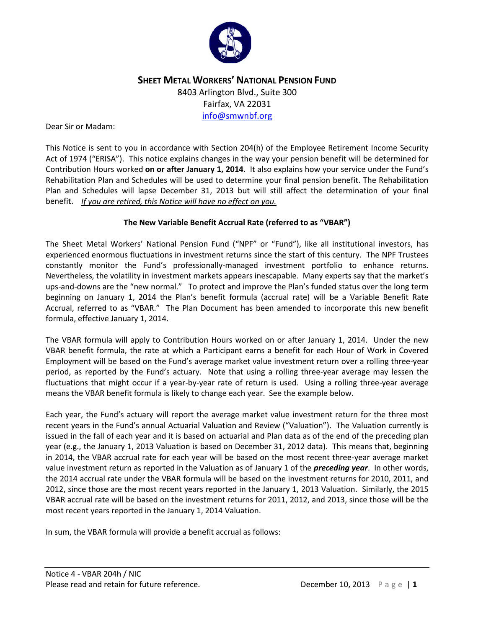

# **SHEET METAL WORKERS' NATIONAL PENSION FUND** 8403 Arlington Blvd., Suite 300 Fairfax, VA 22031 [info@smwnbf.org](mailto:info@smwnbf.org)

#### Dear Sir or Madam:

This Notice is sent to you in accordance with Section 204(h) of the Employee Retirement Income Security Act of 1974 ("ERISA"). This notice explains changes in the way your pension benefit will be determined for Contribution Hours worked **on or after January 1, 2014**. It also explains how your service under the Fund's Rehabilitation Plan and Schedules will be used to determine your final pension benefit. The Rehabilitation Plan and Schedules will lapse December 31, 2013 but will still affect the determination of your final benefit. *If you are retired, this Notice will have no effect on you.* 

#### **The New Variable Benefit Accrual Rate (referred to as "VBAR")**

The Sheet Metal Workers' National Pension Fund ("NPF" or "Fund"), like all institutional investors, has experienced enormous fluctuations in investment returns since the start of this century. The NPF Trustees constantly monitor the Fund's professionally-managed investment portfolio to enhance returns. Nevertheless, the volatility in investment markets appears inescapable. Many experts say that the market's ups-and-downs are the "new normal." To protect and improve the Plan's funded status over the long term beginning on January 1, 2014 the Plan's benefit formula (accrual rate) will be a Variable Benefit Rate Accrual, referred to as "VBAR." The Plan Document has been amended to incorporate this new benefit formula, effective January 1, 2014.

The VBAR formula will apply to Contribution Hours worked on or after January 1, 2014. Under the new VBAR benefit formula, the rate at which a Participant earns a benefit for each Hour of Work in Covered Employment will be based on the Fund's average market value investment return over a rolling three-year period, as reported by the Fund's actuary. Note that using a rolling three-year average may lessen the fluctuations that might occur if a year-by-year rate of return is used. Using a rolling three-year average means the VBAR benefit formula is likely to change each year. See the example below.

Each year, the Fund's actuary will report the average market value investment return for the three most recent years in the Fund's annual Actuarial Valuation and Review ("Valuation"). The Valuation currently is issued in the fall of each year and it is based on actuarial and Plan data as of the end of the preceding plan year (e.g., the January 1, 2013 Valuation is based on December 31, 2012 data). This means that, beginning in 2014, the VBAR accrual rate for each year will be based on the most recent three-year average market value investment return as reported in the Valuation as of January 1 of the *preceding year*. In other words, the 2014 accrual rate under the VBAR formula will be based on the investment returns for 2010, 2011, and 2012, since those are the most recent years reported in the January 1, 2013 Valuation. Similarly, the 2015 VBAR accrual rate will be based on the investment returns for 2011, 2012, and 2013, since those will be the most recent years reported in the January 1, 2014 Valuation.

In sum, the VBAR formula will provide a benefit accrual as follows: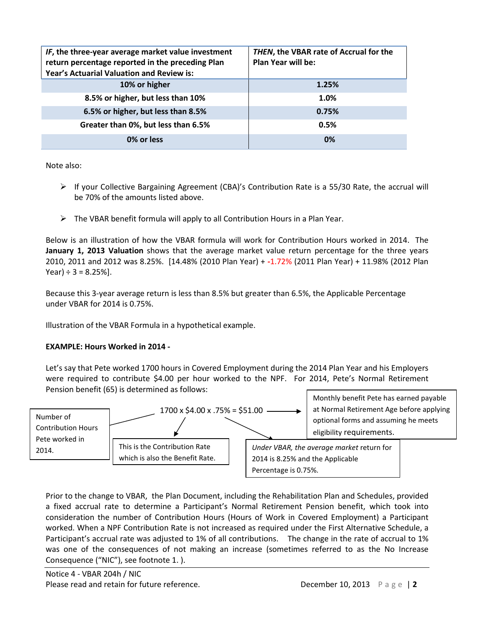| IF, the three-year average market value investment<br>return percentage reported in the preceding Plan<br>Year's Actuarial Valuation and Review is: | THEN, the VBAR rate of Accrual for the<br><b>Plan Year will be:</b> |
|-----------------------------------------------------------------------------------------------------------------------------------------------------|---------------------------------------------------------------------|
| 10% or higher                                                                                                                                       | 1.25%                                                               |
| 8.5% or higher, but less than 10%                                                                                                                   | 1.0%                                                                |
| 6.5% or higher, but less than 8.5%                                                                                                                  | 0.75%                                                               |
| Greater than 0%, but less than 6.5%                                                                                                                 | 0.5%                                                                |
| 0% or less                                                                                                                                          | 0%                                                                  |

Note also:

- $\triangleright$  If your Collective Bargaining Agreement (CBA)'s Contribution Rate is a 55/30 Rate, the accrual will be 70% of the amounts listed above.
- $\triangleright$  The VBAR benefit formula will apply to all Contribution Hours in a Plan Year.

Below is an illustration of how the VBAR formula will work for Contribution Hours worked in 2014. The **January 1, 2013 Valuation** shows that the average market value return percentage for the three years 2010, 2011 and 2012 was 8.25%. [14.48% (2010 Plan Year) + **-**1.72% (2011 Plan Year) + 11.98% (2012 Plan Year)  $\div$  3 = 8.25%].

Because this 3-year average return is less than 8.5% but greater than 6.5%, the Applicable Percentage under VBAR for 2014 is 0.75%.

Illustration of the VBAR Formula in a hypothetical example.

#### **EXAMPLE: Hours Worked in 2014 -**

Let's say that Pete worked 1700 hours in Covered Employment during the 2014 Plan Year and his Employers were required to contribute \$4.00 per hour worked to the NPF. For 2014, Pete's Normal Retirement Pension benefit (65) is determined as follows:



Prior to the change to VBAR, the Plan Document, including the Rehabilitation Plan and Schedules, provided a fixed accrual rate to determine a Participant's Normal Retirement Pension benefit, which took into consideration the number of Contribution Hours (Hours of Work in Covered Employment) a Participant worked. When a NPF Contribution Rate is not increased as required under the First Alternative Schedule, a Participant's accrual rate was adjusted to 1% of all contributions. The change in the rate of accrual to 1% was one of the consequences of not making an increase (sometimes referred to as the No Increase Consequence ("NIC"), see footnote 1. ).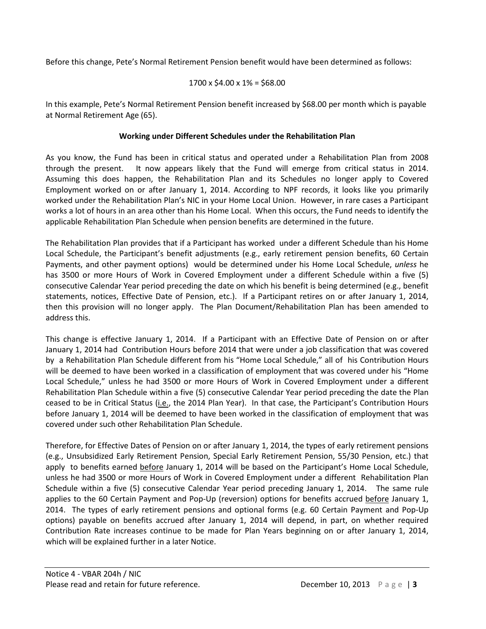Before this change, Pete's Normal Retirement Pension benefit would have been determined as follows:

# $1700 \times $4.00 \times 1\% = $68.00$

In this example, Pete's Normal Retirement Pension benefit increased by \$68.00 per month which is payable at Normal Retirement Age (65).

# **Working under Different Schedules under the Rehabilitation Plan**

As you know, the Fund has been in critical status and operated under a Rehabilitation Plan from 2008 through the present. It now appears likely that the Fund will emerge from critical status in 2014. Assuming this does happen, the Rehabilitation Plan and its Schedules no longer apply to Covered Employment worked on or after January 1, 2014. According to NPF records, it looks like you primarily worked under the Rehabilitation Plan's NIC in your Home Local Union. However, in rare cases a Participant works a lot of hours in an area other than his Home Local. When this occurs, the Fund needs to identify the applicable Rehabilitation Plan Schedule when pension benefits are determined in the future.

The Rehabilitation Plan provides that if a Participant has worked under a different Schedule than his Home Local Schedule, the Participant's benefit adjustments (e.g., early retirement pension benefits, 60 Certain Payments, and other payment options) would be determined under his Home Local Schedule, *unless* he has 3500 or more Hours of Work in Covered Employment under a different Schedule within a five (5) consecutive Calendar Year period preceding the date on which his benefit is being determined (e.g., benefit statements, notices, Effective Date of Pension, etc.). If a Participant retires on or after January 1, 2014, then this provision will no longer apply. The Plan Document/Rehabilitation Plan has been amended to address this.

This change is effective January 1, 2014. If a Participant with an Effective Date of Pension on or after January 1, 2014 had Contribution Hours before 2014 that were under a job classification that was covered by a Rehabilitation Plan Schedule different from his "Home Local Schedule," all of his Contribution Hours will be deemed to have been worked in a classification of employment that was covered under his "Home Local Schedule," unless he had 3500 or more Hours of Work in Covered Employment under a different Rehabilitation Plan Schedule within a five (5) consecutive Calendar Year period preceding the date the Plan ceased to be in Critical Status (i.e., the 2014 Plan Year). In that case, the Participant's Contribution Hours before January 1, 2014 will be deemed to have been worked in the classification of employment that was covered under such other Rehabilitation Plan Schedule.

Therefore, for Effective Dates of Pension on or after January 1, 2014, the types of early retirement pensions (e.g., Unsubsidized Early Retirement Pension, Special Early Retirement Pension, 55/30 Pension, etc.) that apply to benefits earned before January 1, 2014 will be based on the Participant's Home Local Schedule, unless he had 3500 or more Hours of Work in Covered Employment under a different Rehabilitation Plan Schedule within a five (5) consecutive Calendar Year period preceding January 1, 2014. The same rule applies to the 60 Certain Payment and Pop-Up (reversion) options for benefits accrued before January 1, 2014. The types of early retirement pensions and optional forms (e.g. 60 Certain Payment and Pop-Up options) payable on benefits accrued after January 1, 2014 will depend, in part, on whether required Contribution Rate increases continue to be made for Plan Years beginning on or after January 1, 2014, which will be explained further in a later Notice.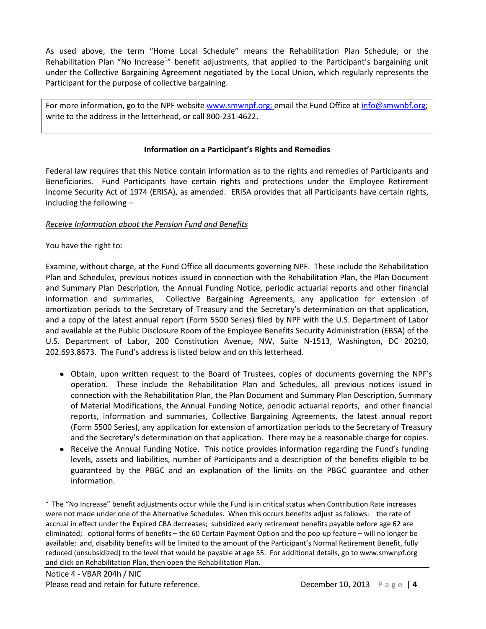As used above, the term "Home Local Schedule" means the Rehabilitation Plan Schedule, or the Rehabilitation Plan "No Increase<sup>[1](#page-3-0)</sup>" benefit adjustments, that applied to the Participant's bargaining unit under the Collective Bargaining Agreement negotiated by the Local Union, which regularly represents the Participant for the purpose of collective bargaining.

For more information, go to the NPF website [www.smwnpf.org;](http://www.smwnpf.org/) email the Fund Office a[t info@smwnbf.org;](mailto:info@smwnbf.org) write to the address in the letterhead, or call 800-231-4622.

#### **Information on a Participant's Rights and Remedies**

Federal law requires that this Notice contain information as to the rights and remedies of Participants and Beneficiaries. Fund Participants have certain rights and protections under the Employee Retirement Income Security Act of 1974 (ERISA), as amended. ERISA provides that all Participants have certain rights, including the following –

# *Receive Information about the Pension Fund and Benefits*

# You have the right to:

Examine, without charge, at the Fund Office all documents governing NPF. These include the Rehabilitation Plan and Schedules, previous notices issued in connection with the Rehabilitation Plan, the Plan Document and Summary Plan Description, the Annual Funding Notice, periodic actuarial reports and other financial information and summaries, Collective Bargaining Agreements, any application for extension of amortization periods to the Secretary of Treasury and the Secretary's determination on that application, and a copy of the latest annual report (Form 5500 Series) filed by NPF with the U.S. Department of Labor and available at the Public Disclosure Room of the Employee Benefits Security Administration (EBSA) of the U.S. Department of Labor, 200 Constitution Avenue, NW, Suite N-1513, Washington, DC 20210, 202.693.8673.The Fund's address is listed below and on this letterhead.

- Obtain, upon written request to the Board of Trustees, copies of documents governing the NPF's operation. These include the Rehabilitation Plan and Schedules, all previous notices issued in connection with the Rehabilitation Plan, the Plan Document and Summary Plan Description, Summary of Material Modifications, the Annual Funding Notice, periodic actuarial reports, and other financial reports, information and summaries, Collective Bargaining Agreements, the latest annual report (Form 5500 Series), any application for extension of amortization periods to the Secretary of Treasury and the Secretary's determination on that application. There may be a reasonable charge for copies.
- Receive the Annual Funding Notice. This notice provides information regarding the Fund's funding levels, assets and liabilities, number of Participants and a description of the benefits eligible to be guaranteed by the PBGC and an explanation of the limits on the PBGC guarantee and other information.

<span id="page-3-0"></span> $\frac{1}{1}$  $1$  The "No Increase" benefit adjustments occur while the Fund is in critical status when Contribution Rate increases were not made under one of the Alternative Schedules. When this occurs benefits adjust as follows: the rate of accrual in effect under the Expired CBA decreases; subsidized early retirement benefits payable before age 62 are eliminated; optional forms of benefits – the 60 Certain Payment Option and the pop-up feature – will no longer be available; and, disability benefits will be limited to the amount of the Participant's Normal Retirement Benefit, fully reduced (unsubsidized) to the level that would be payable at age 55. For additional details, go t[o www.smwnpf.org](http://www.smwnpf.org/) and click on Rehabilitation Plan, then open the Rehabilitation Plan.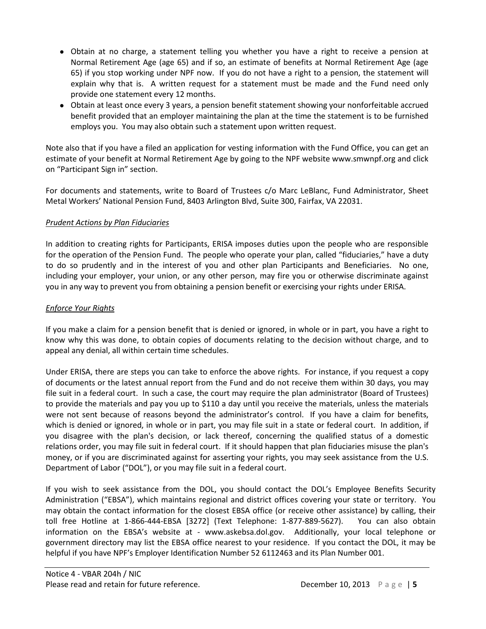- Obtain at no charge, a statement telling you whether you have a right to receive a pension at Normal Retirement Age (age 65) and if so, an estimate of benefits at Normal Retirement Age (age 65) if you stop working under NPF now. If you do not have a right to a pension, the statement will explain why that is. A written request for a statement must be made and the Fund need only provide one statement every 12 months.
- Obtain at least once every 3 years, a pension benefit statement showing your nonforfeitable accrued benefit provided that an employer maintaining the plan at the time the statement is to be furnished employs you. You may also obtain such a statement upon written request.

Note also that if you have a filed an application for vesting information with the Fund Office, you can get an estimate of your benefit at Normal Retirement Age by going to the NPF website www.smwnpf.org and click on "Participant Sign in" section.

For documents and statements, write to Board of Trustees c/o Marc LeBlanc, Fund Administrator, Sheet Metal Workers' National Pension Fund, 8403 Arlington Blvd, Suite 300, Fairfax, VA 22031.

# *Prudent Actions by Plan Fiduciaries*

In addition to creating rights for Participants, ERISA imposes duties upon the people who are responsible for the operation of the Pension Fund. The people who operate your plan, called "fiduciaries," have a duty to do so prudently and in the interest of you and other plan Participants and Beneficiaries. No one, including your employer, your union, or any other person, may fire you or otherwise discriminate against you in any way to prevent you from obtaining a pension benefit or exercising your rights under ERISA.

# *Enforce Your Rights*

If you make a claim for a pension benefit that is denied or ignored, in whole or in part, you have a right to know why this was done, to obtain copies of documents relating to the decision without charge, and to appeal any denial, all within certain time schedules.

Under ERISA, there are steps you can take to enforce the above rights. For instance, if you request a copy of documents or the latest annual report from the Fund and do not receive them within 30 days, you may file suit in a federal court. In such a case, the court may require the plan administrator (Board of Trustees) to provide the materials and pay you up to \$110 a day until you receive the materials, unless the materials were not sent because of reasons beyond the administrator's control. If you have a claim for benefits, which is denied or ignored, in whole or in part, you may file suit in a state or federal court. In addition, if you disagree with the plan's decision, or lack thereof, concerning the qualified status of a domestic relations order, you may file suit in federal court. If it should happen that plan fiduciaries misuse the plan's money, or if you are discriminated against for asserting your rights, you may seek assistance from the U.S. Department of Labor ("DOL"), or you may file suit in a federal court.

If you wish to seek assistance from the DOL, you should contact the DOL's Employee Benefits Security Administration ("EBSA"), which maintains regional and district offices covering your state or territory. You may obtain the contact information for the closest EBSA office (or receive other assistance) by calling, their toll free Hotline at 1-866-444-EBSA [3272] (Text Telephone: 1-877-889-5627). You can also obtain information on the EBSA's website at - www.askebsa.dol.gov. Additionally, your local telephone or government directory may list the EBSA office nearest to your residence. If you contact the DOL, it may be helpful if you have NPF's Employer Identification Number 52 6112463 and its Plan Number 001.